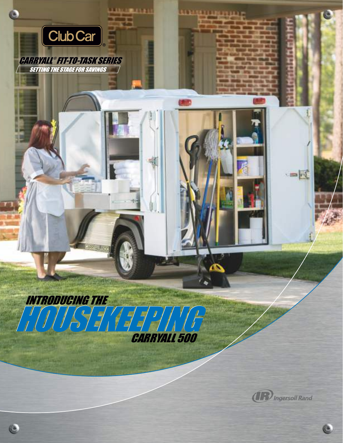

**(IR)** Ingersoll Rand